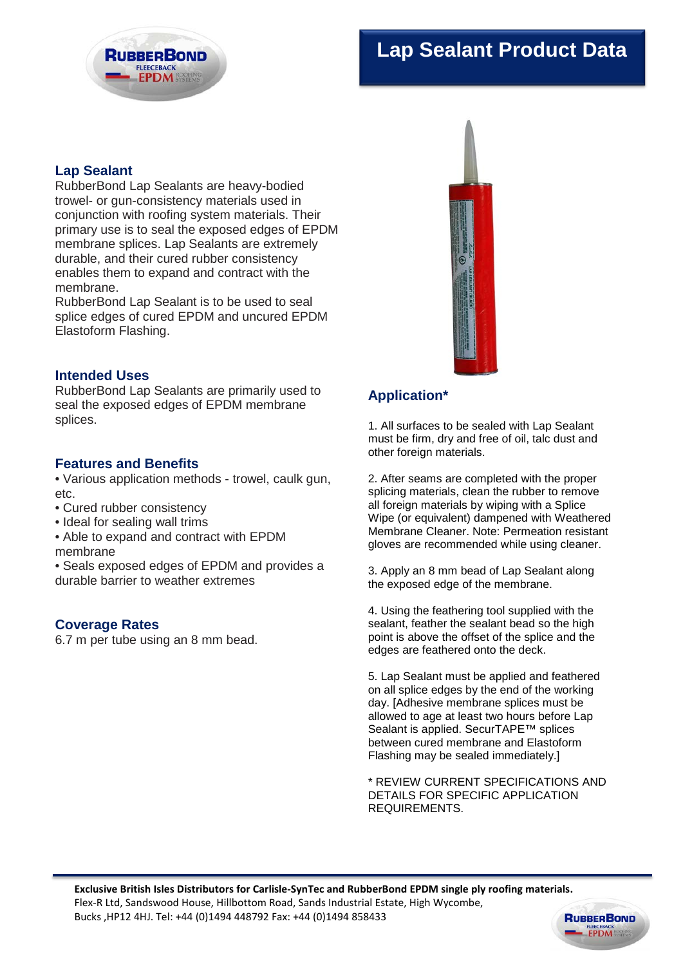# **Lap Sealant Product Data**



# **Lap Sealant**

RubberBond Lap Sealants are heavy-bodied trowel- or gun-consistency materials used in conjunction with roofing system materials. Their primary use is to seal the exposed edges of EPDM membrane splices. Lap Sealants are extremely durable, and their cured rubber consistency enables them to expand and contract with the membrane.

RubberBond Lap Sealant is to be used to seal splice edges of cured EPDM and uncured EPDM Elastoform Flashing.

#### **Intended Uses**

RubberBond Lap Sealants are primarily used to seal the exposed edges of EPDM membrane splices.

#### **Features and Benefits**

• Various application methods - trowel, caulk gun, etc.

- Cured rubber consistency
- Ideal for sealing wall trims
- Able to expand and contract with EPDM membrane

• Seals exposed edges of EPDM and provides a durable barrier to weather extremes

## **Coverage Rates**

6.7 m per tube using an 8 mm bead.

# **Application\***

1. All surfaces to be sealed with Lap Sealant must be firm, dry and free of oil, talc dust and other foreign materials.

2. After seams are completed with the proper splicing materials, clean the rubber to remove all foreign materials by wiping with a Splice Wipe (or equivalent) dampened with Weathered Membrane Cleaner. Note: Permeation resistant gloves are recommended while using cleaner.

3. Apply an 8 mm bead of Lap Sealant along the exposed edge of the membrane.

4. Using the feathering tool supplied with the sealant, feather the sealant bead so the high point is above the offset of the splice and the edges are feathered onto the deck.

5. Lap Sealant must be applied and feathered on all splice edges by the end of the working day. [Adhesive membrane splices must be allowed to age at least two hours before Lap Sealant is applied. SecurTAPE™ splices between cured membrane and Elastoform Flashing may be sealed immediately.]

\* REVIEW CURRENT SPECIFICATIONS AND DETAILS FOR SPECIFIC APPLICATION REQUIREMENTS.



**EPDM**